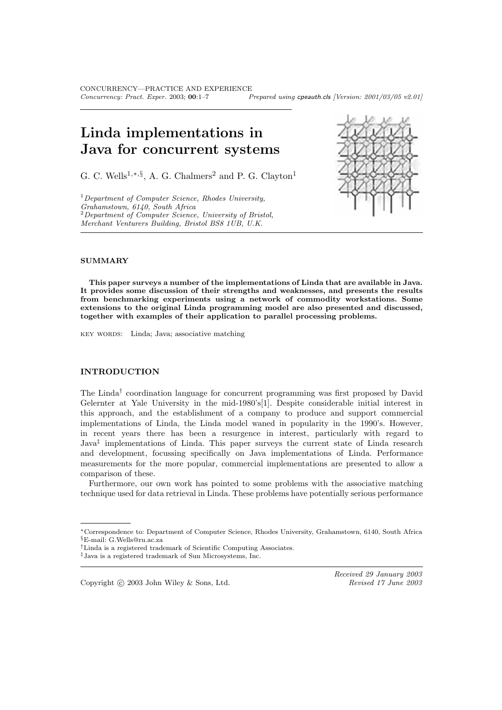CONCURRENCY—PRACTICE AND EXPERIENCE Concurrency: Pract. Exper. 2003; 00:1–7 Prepared using cpeauth.cls [Version: 2001/03/05 v2.01]

# Linda implementations in Java for concurrent systems

G. C. Wells<sup>1,\*, §</sup>, A. G. Chalmers<sup>2</sup> and P. G. Clayton<sup>1</sup>

 $1$ Department of Computer Science, Rhodes University, Grahamstown, 6140, South Africa  ${}^{2}$ Department of Computer Science, University of Bristol, Merchant Venturers Building, Bristol BS8 1UB, U.K.



### **SUMMARY**

This paper surveys a number of the implementations of Linda that are available in Java. It provides some discussion of their strengths and weaknesses, and presents the results from benchmarking experiments using a network of commodity workstations. Some extensions to the original Linda programming model are also presented and discussed, together with examples of their application to parallel processing problems.

key words: Linda; Java; associative matching

## INTRODUCTION

The Linda† coordination language for concurrent programming was first proposed by David Gelernter at Yale University in the mid-1980's[1]. Despite considerable initial interest in this approach, and the establishment of a company to produce and support commercial implementations of Linda, the Linda model waned in popularity in the 1990's. However, in recent years there has been a resurgence in interest, particularly with regard to Java<sup>‡</sup> implementations of Linda. This paper surveys the current state of Linda research and development, focussing specifically on Java implementations of Linda. Performance measurements for the more popular, commercial implementations are presented to allow a comparison of these.

Furthermore, our own work has pointed to some problems with the associative matching technique used for data retrieval in Linda. These problems have potentially serious performance

<sup>∗</sup>Correspondence to: Department of Computer Science, Rhodes University, Grahamstown, 6140, South Africa §E-mail: G.Wells@ru.ac.za

<sup>†</sup>Linda is a registered trademark of Scientific Computing Associates.

<sup>‡</sup>Java is a registered trademark of Sun Microsystems, Inc.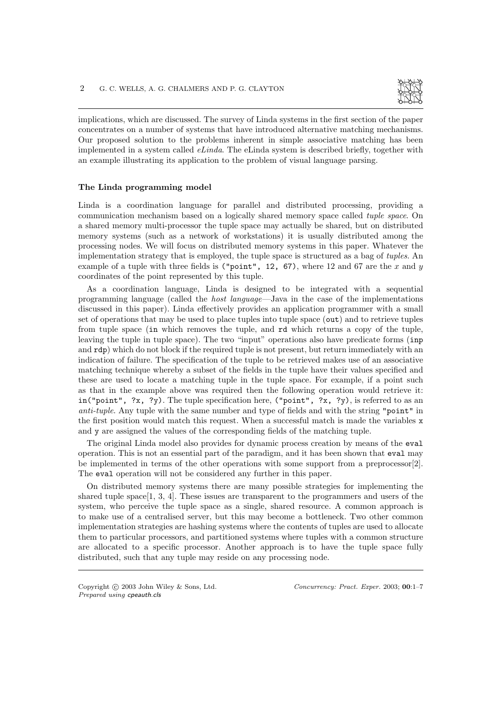

implications, which are discussed. The survey of Linda systems in the first section of the paper concentrates on a number of systems that have introduced alternative matching mechanisms. Our proposed solution to the problems inherent in simple associative matching has been implemented in a system called eLinda. The eLinda system is described briefly, together with an example illustrating its application to the problem of visual language parsing.

### The Linda programming model

Linda is a coordination language for parallel and distributed processing, providing a communication mechanism based on a logically shared memory space called *tuple space*. On a shared memory multi-processor the tuple space may actually be shared, but on distributed memory systems (such as a network of workstations) it is usually distributed among the processing nodes. We will focus on distributed memory systems in this paper. Whatever the implementation strategy that is employed, the tuple space is structured as a bag of tuples. An example of a tuple with three fields is ("point", 12, 67), where 12 and 67 are the x and y coordinates of the point represented by this tuple.

As a coordination language, Linda is designed to be integrated with a sequential programming language (called the host language—Java in the case of the implementations discussed in this paper). Linda effectively provides an application programmer with a small set of operations that may be used to place tuples into tuple space (out) and to retrieve tuples from tuple space (in which removes the tuple, and rd which returns a copy of the tuple, leaving the tuple in tuple space). The two "input" operations also have predicate forms (inp and  $\texttt{rdp}$ ) which do not block if the required tuple is not present, but return immediately with an indication of failure. The specification of the tuple to be retrieved makes use of an associative matching technique whereby a subset of the fields in the tuple have their values specified and these are used to locate a matching tuple in the tuple space. For example, if a point such as that in the example above was required then the following operation would retrieve it: in("point", ?x, ?y). The tuple specification here, ("point", ?x, ?y), is referred to as an anti-tuple. Any tuple with the same number and type of fields and with the string "point" in the first position would match this request. When a successful match is made the variables x and y are assigned the values of the corresponding fields of the matching tuple.

The original Linda model also provides for dynamic process creation by means of the eval operation. This is not an essential part of the paradigm, and it has been shown that eval may be implemented in terms of the other operations with some support from a preprocessor[2]. The eval operation will not be considered any further in this paper.

On distributed memory systems there are many possible strategies for implementing the shared tuple space  $[1, 3, 4]$ . These issues are transparent to the programmers and users of the system, who perceive the tuple space as a single, shared resource. A common approach is to make use of a centralised server, but this may become a bottleneck. Two other common implementation strategies are hashing systems where the contents of tuples are used to allocate them to particular processors, and partitioned systems where tuples with a common structure are allocated to a specific processor. Another approach is to have the tuple space fully distributed, such that any tuple may reside on any processing node.

Copyright © 2003 John Wiley & Sons, Ltd. Concurrency: Pract. Exper. 2003; 00:1–7 Prepared using cpeauth.cls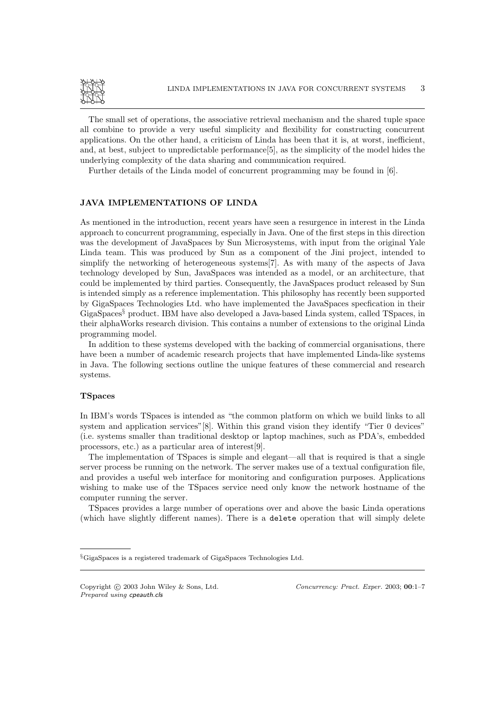

The small set of operations, the associative retrieval mechanism and the shared tuple space all combine to provide a very useful simplicity and flexibility for constructing concurrent applications. On the other hand, a criticism of Linda has been that it is, at worst, inefficient, and, at best, subject to unpredictable performance[5], as the simplicity of the model hides the underlying complexity of the data sharing and communication required.

Further details of the Linda model of concurrent programming may be found in [6].

## JAVA IMPLEMENTATIONS OF LINDA

As mentioned in the introduction, recent years have seen a resurgence in interest in the Linda approach to concurrent programming, especially in Java. One of the first steps in this direction was the development of JavaSpaces by Sun Microsystems, with input from the original Yale Linda team. This was produced by Sun as a component of the Jini project, intended to simplify the networking of heterogeneous systems[7]. As with many of the aspects of Java technology developed by Sun, JavaSpaces was intended as a model, or an architecture, that could be implemented by third parties. Consequently, the JavaSpaces product released by Sun is intended simply as a reference implementation. This philosophy has recently been supported by GigaSpaces Technologies Ltd. who have implemented the JavaSpaces specfication in their GigaSpaces§ product. IBM have also developed a Java-based Linda system, called TSpaces, in their alphaWorks research division. This contains a number of extensions to the original Linda programming model.

In addition to these systems developed with the backing of commercial organisations, there have been a number of academic research projects that have implemented Linda-like systems in Java. The following sections outline the unique features of these commercial and research systems.

### TSpaces

In IBM's words TSpaces is intended as "the common platform on which we build links to all system and application services"[8]. Within this grand vision they identify "Tier 0 devices" (i.e. systems smaller than traditional desktop or laptop machines, such as PDA's, embedded processors, etc.) as a particular area of interest[9].

The implementation of TSpaces is simple and elegant—all that is required is that a single server process be running on the network. The server makes use of a textual configuration file, and provides a useful web interface for monitoring and configuration purposes. Applications wishing to make use of the TSpaces service need only know the network hostname of the computer running the server.

TSpaces provides a large number of operations over and above the basic Linda operations (which have slightly different names). There is a delete operation that will simply delete

<sup>§</sup>GigaSpaces is a registered trademark of GigaSpaces Technologies Ltd.

Copyright © 2003 John Wiley & Sons, Ltd. Concurrency: Pract. Exper. 2003; 00:1–7 Prepared using cpeauth.cls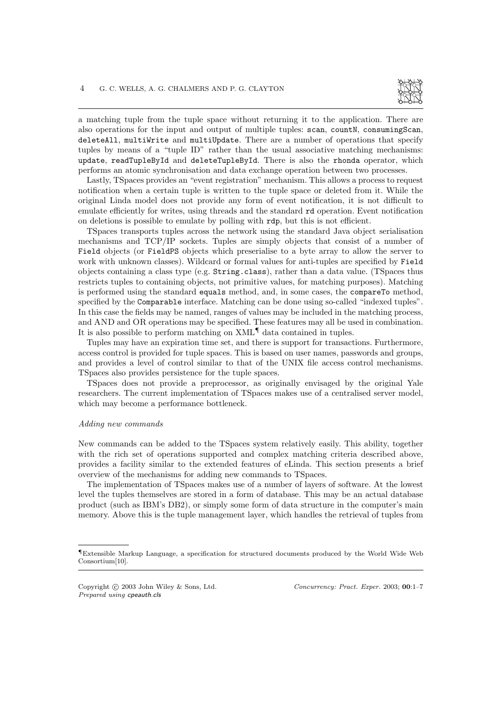

a matching tuple from the tuple space without returning it to the application. There are also operations for the input and output of multiple tuples: scan, countN, consumingScan, deleteAll, multiWrite and multiUpdate. There are a number of operations that specify tuples by means of a "tuple ID" rather than the usual associative matching mechanisms: update, readTupleById and deleteTupleById. There is also the rhonda operator, which performs an atomic synchronisation and data exchange operation between two processes.

Lastly, TSpaces provides an "event registration" mechanism. This allows a process to request notification when a certain tuple is written to the tuple space or deleted from it. While the original Linda model does not provide any form of event notification, it is not difficult to emulate efficiently for writes, using threads and the standard rd operation. Event notification on deletions is possible to emulate by polling with rdp, but this is not efficient.

TSpaces transports tuples across the network using the standard Java object serialisation mechanisms and TCP/IP sockets. Tuples are simply objects that consist of a number of Field objects (or FieldPS objects which preserialise to a byte array to allow the server to work with unknown classes). Wildcard or formal values for anti-tuples are specified by Field objects containing a class type (e.g. String.class), rather than a data value. (TSpaces thus restricts tuples to containing objects, not primitive values, for matching purposes). Matching is performed using the standard equals method, and, in some cases, the compareTo method, specified by the Comparable interface. Matching can be done using so-called "indexed tuples". In this case the fields may be named, ranges of values may be included in the matching process, and AND and OR operations may be specified. These features may all be used in combination. It is also possible to perform matching on XML¶ data contained in tuples.

Tuples may have an expiration time set, and there is support for transactions. Furthermore, access control is provided for tuple spaces. This is based on user names, passwords and groups, and provides a level of control similar to that of the UNIX file access control mechanisms. TSpaces also provides persistence for the tuple spaces.

TSpaces does not provide a preprocessor, as originally envisaged by the original Yale researchers. The current implementation of TSpaces makes use of a centralised server model, which may become a performance bottleneck.

### Adding new commands

New commands can be added to the TSpaces system relatively easily. This ability, together with the rich set of operations supported and complex matching criteria described above, provides a facility similar to the extended features of eLinda. This section presents a brief overview of the mechanisms for adding new commands to TSpaces.

The implementation of TSpaces makes use of a number of layers of software. At the lowest level the tuples themselves are stored in a form of database. This may be an actual database product (such as IBM's DB2), or simply some form of data structure in the computer's main memory. Above this is the tuple management layer, which handles the retrieval of tuples from

<sup>¶</sup>Extensible Markup Language, a specification for structured documents produced by the World Wide Web Consortium[10].

Copyright © 2003 John Wiley & Sons, Ltd. Concurrency: Pract. Exper. 2003; 00:1–7 Prepared using cpeauth.cls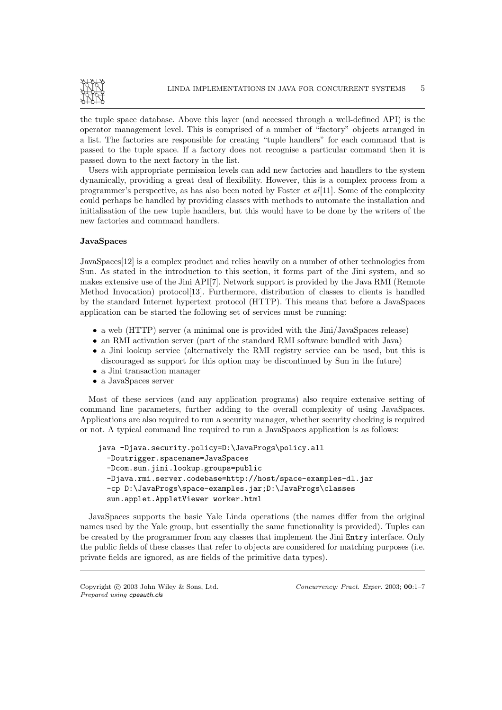

the tuple space database. Above this layer (and accessed through a well-defined API) is the operator management level. This is comprised of a number of "factory" objects arranged in a list. The factories are responsible for creating "tuple handlers" for each command that is passed to the tuple space. If a factory does not recognise a particular command then it is passed down to the next factory in the list.

Users with appropriate permission levels can add new factories and handlers to the system dynamically, providing a great deal of flexibility. However, this is a complex process from a programmer's perspective, as has also been noted by Foster *et al*[11]. Some of the complexity could perhaps be handled by providing classes with methods to automate the installation and initialisation of the new tuple handlers, but this would have to be done by the writers of the new factories and command handlers.

# JavaSpaces

JavaSpaces[12] is a complex product and relies heavily on a number of other technologies from Sun. As stated in the introduction to this section, it forms part of the Jini system, and so makes extensive use of the Jini API[7]. Network support is provided by the Java RMI (Remote Method Invocation) protocol[13]. Furthermore, distribution of classes to clients is handled by the standard Internet hypertext protocol (HTTP). This means that before a JavaSpaces application can be started the following set of services must be running:

- a web (HTTP) server (a minimal one is provided with the Jini/JavaSpaces release)
- an RMI activation server (part of the standard RMI software bundled with Java)
- a Jini lookup service (alternatively the RMI registry service can be used, but this is discouraged as support for this option may be discontinued by Sun in the future)
- a Jini transaction manager
- a JavaSpaces server

Most of these services (and any application programs) also require extensive setting of command line parameters, further adding to the overall complexity of using JavaSpaces. Applications are also required to run a security manager, whether security checking is required or not. A typical command line required to run a JavaSpaces application is as follows:

```
java -Djava.security.policy=D:\JavaProgs\policy.all
-Doutrigger.spacename=JavaSpaces
-Dcom.sun.jini.lookup.groups=public
-Djava.rmi.server.codebase=http://host/space-examples-dl.jar
-cp D:\JavaProgs\space-examples.jar;D:\JavaProgs\classes
sun.applet.AppletViewer worker.html
```
JavaSpaces supports the basic Yale Linda operations (the names differ from the original names used by the Yale group, but essentially the same functionality is provided). Tuples can be created by the programmer from any classes that implement the Jini Entry interface. Only the public fields of these classes that refer to objects are considered for matching purposes (i.e. private fields are ignored, as are fields of the primitive data types).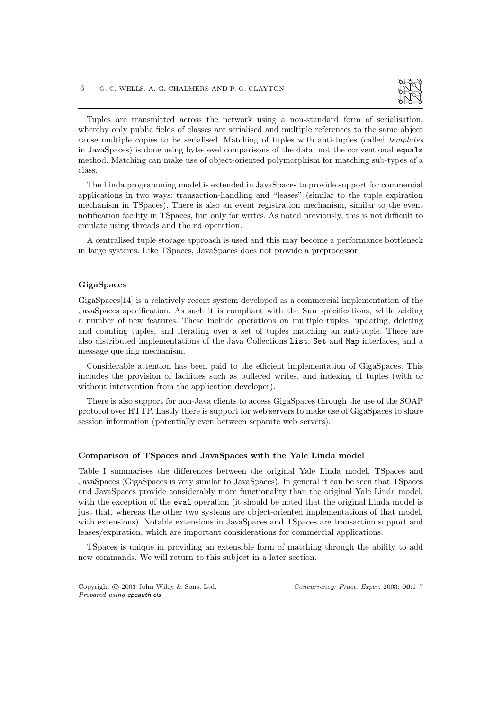

Tuples are transmitted across the network using a non-standard form of serialisation, whereby only public fields of classes are serialised and multiple references to the same object cause multiple copies to be serialised. Matching of tuples with anti-tuples (called templates in JavaSpaces) is done using byte-level comparisons of the data, not the conventional equals method. Matching can make use of object-oriented polymorphism for matching sub-types of a class.

The Linda programming model is extended in JavaSpaces to provide support for commercial applications in two ways: transaction-handling and "leases" (similar to the tuple expiration mechanism in TSpaces). There is also an event registration mechanism, similar to the event notification facility in TSpaces, but only for writes. As noted previously, this is not difficult to emulate using threads and the rd operation.

A centralised tuple storage approach is used and this may become a performance bottleneck in large systems. Like TSpaces, JavaSpaces does not provide a preprocessor.

### GigaSpaces

GigaSpaces[14] is a relatively recent system developed as a commercial implementation of the JavaSpaces specification. As such it is compliant with the Sun specifications, while adding a number of new features. These include operations on multiple tuples, updating, deleting and counting tuples, and iterating over a set of tuples matching an anti-tuple. There are also distributed implementations of the Java Collections List, Set and Map interfaces, and a message queuing mechanism.

Considerable attention has been paid to the efficient implementation of GigaSpaces. This includes the provision of facilities such as buffered writes, and indexing of tuples (with or without intervention from the application developer).

There is also support for non-Java clients to access GigaSpaces through the use of the SOAP protocol over HTTP. Lastly there is support for web servers to make use of GigaSpaces to share session information (potentially even between separate web servers).

### Comparison of TSpaces and JavaSpaces with the Yale Linda model

Table I summarises the differences between the original Yale Linda model, TSpaces and JavaSpaces (GigaSpaces is very similar to JavaSpaces). In general it can be seen that TSpaces and JavaSpaces provide considerably more functionality than the original Yale Linda model, with the exception of the eval operation (it should be noted that the original Linda model is just that, whereas the other two systems are object-oriented implementations of that model, with extensions). Notable extensions in JavaSpaces and TSpaces are transaction support and leases/expiration, which are important considerations for commercial applications.

TSpaces is unique in providing an extensible form of matching through the ability to add new commands. We will return to this subject in a later section.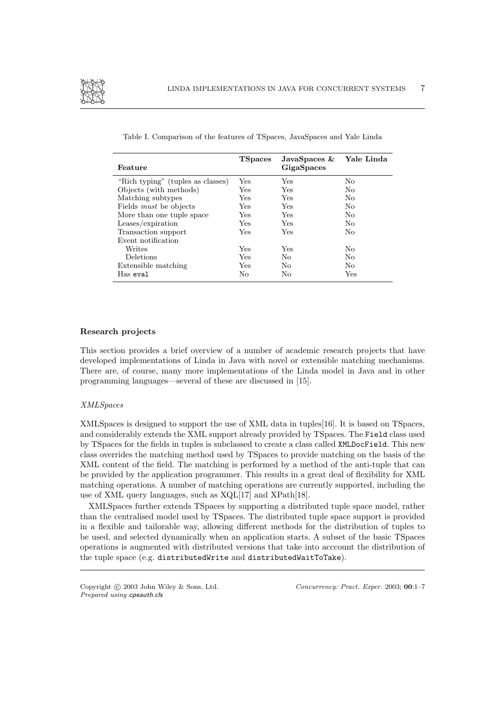

| Feature                           | <b>TSpaces</b> | JavaSpaces & Yale Linda<br>GigaSpaces |                |
|-----------------------------------|----------------|---------------------------------------|----------------|
| "Rich typing" (tuples as classes) | Yes            | Yes                                   | No             |
| Objects (with methods)            | Yes            | Yes                                   | N <sub>0</sub> |
| Matching subtypes                 | Yes            | Yes                                   | No             |
| Fields <i>must</i> be objects     | Yes            | Yes                                   | N <sub>0</sub> |
| More than one tuple space         | <b>Yes</b>     | Yes                                   | N <sub>0</sub> |
| Leases/expiration                 | <b>Yes</b>     | Yes                                   | No.            |
| Transaction support               | Yes            | Yes                                   | No.            |
| Event notification                |                |                                       |                |
| Writes                            | Yes            | Yes                                   | No             |
| Deletions                         | Yes            | No                                    | No             |
| Extensible matching               | <b>Yes</b>     | N <sub>0</sub>                        | N <sub>0</sub> |
| Has eval                          | No             | No                                    | Yes            |

Table I. Comparison of the features of TSpaces, JavaSpaces and Yale Linda

### Research projects

This section provides a brief overview of a number of academic research projects that have developed implementations of Linda in Java with novel or extensible matching mechanisms. There are, of course, many more implementations of the Linda model in Java and in other programming languages—several of these are discussed in [15].

### XMLSpaces

XMLSpaces is designed to support the use of XML data in tuples[16]. It is based on TSpaces, and considerably extends the XML support already provided by TSpaces. The Field class used by TSpaces for the fields in tuples is subclassed to create a class called XMLDocField. This new class overrides the matching method used by TSpaces to provide matching on the basis of the XML content of the field. The matching is performed by a method of the anti-tuple that can be provided by the application programmer. This results in a great deal of flexibility for XML matching operations. A number of matching operations are currently supported, including the use of XML query languages, such as XQL[17] and XPath[18].

XMLSpaces further extends TSpaces by supporting a distributed tuple space model, rather than the centralised model used by TSpaces. The distributed tuple space support is provided in a flexible and tailorable way, allowing different methods for the distribution of tuples to be used, and selected dynamically when an application starts. A subset of the basic TSpaces operations is augmented with distributed versions that take into acccount the distribution of the tuple space (e.g. distributedWrite and distributedWaitToTake).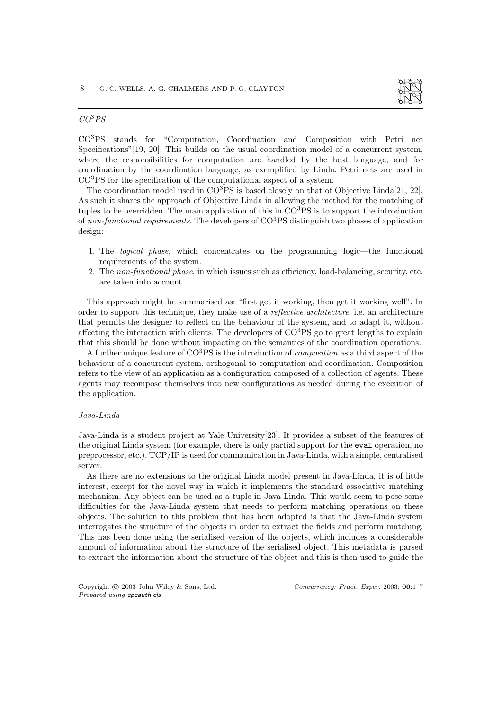

# $CO<sup>3</sup> PS$

CO<sup>3</sup>PS stands for "Computation, Coordination and Composition with Petri net Specifications"[19, 20]. This builds on the usual coordination model of a concurrent system, where the responsibilities for computation are handled by the host language, and for coordination by the coordination language, as exemplified by Linda. Petri nets are used in  $CO<sup>3</sup>PS$  for the specification of the computational aspect of a system.

The coordination model used in  $CO<sup>3</sup>PS$  is based closely on that of Objective Linda<sup>[21, 22]</sup>. As such it shares the approach of Objective Linda in allowing the method for the matching of tuples to be overridden. The main application of this in  $CO<sup>3</sup>PS$  is to support the introduction of non-functional requirements. The developers of  $CO<sup>3</sup>PS$  distinguish two phases of application design:

- 1. The logical phase, which concentrates on the programming logic—the functional requirements of the system.
- 2. The non-functional phase, in which issues such as efficiency, load-balancing, security, etc. are taken into account.

This approach might be summarised as: "first get it working, then get it working well". In order to support this technique, they make use of a reflective architecture, i.e. an architecture that permits the designer to reflect on the behaviour of the system, and to adapt it, without affecting the interaction with clients. The developers of  $CO<sup>3</sup>PS$  go to great lengths to explain that this should be done without impacting on the semantics of the coordination operations.

A further unique feature of  $\rm CO^{3}PS$  is the introduction of *composition* as a third aspect of the behaviour of a concurrent system, orthogonal to computation and coordination. Composition refers to the view of an application as a configuration composed of a collection of agents. These agents may recompose themselves into new configurations as needed during the execution of the application.

### Java-Linda

Java-Linda is a student project at Yale University[23]. It provides a subset of the features of the original Linda system (for example, there is only partial support for the eval operation, no preprocessor, etc.). TCP/IP is used for communication in Java-Linda, with a simple, centralised server.

As there are no extensions to the original Linda model present in Java-Linda, it is of little interest, except for the novel way in which it implements the standard associative matching mechanism. Any object can be used as a tuple in Java-Linda. This would seem to pose some difficulties for the Java-Linda system that needs to perform matching operations on these objects. The solution to this problem that has been adopted is that the Java-Linda system interrogates the structure of the objects in order to extract the fields and perform matching. This has been done using the serialised version of the objects, which includes a considerable amount of information about the structure of the serialised object. This metadata is parsed to extract the information about the structure of the object and this is then used to guide the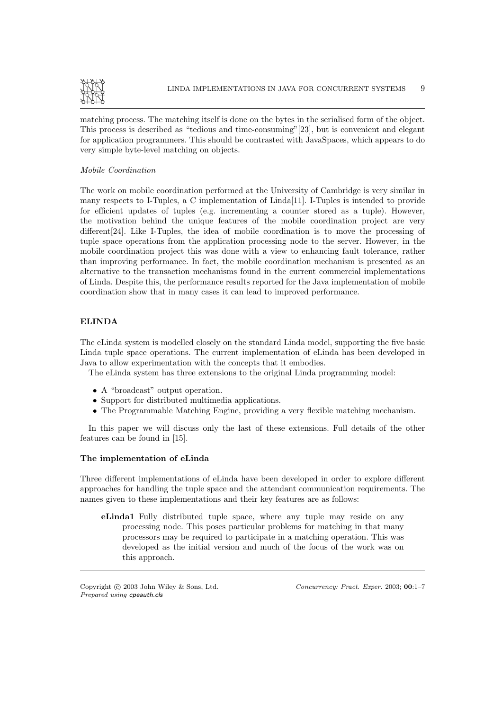

matching process. The matching itself is done on the bytes in the serialised form of the object. This process is described as "tedious and time-consuming"[23], but is convenient and elegant for application programmers. This should be contrasted with JavaSpaces, which appears to do very simple byte-level matching on objects.

# Mobile Coordination

The work on mobile coordination performed at the University of Cambridge is very similar in many respects to I-Tuples, a C implementation of Linda[11]. I-Tuples is intended to provide for efficient updates of tuples (e.g. incrementing a counter stored as a tuple). However, the motivation behind the unique features of the mobile coordination project are very different[24]. Like I-Tuples, the idea of mobile coordination is to move the processing of tuple space operations from the application processing node to the server. However, in the mobile coordination project this was done with a view to enhancing fault tolerance, rather than improving performance. In fact, the mobile coordination mechanism is presented as an alternative to the transaction mechanisms found in the current commercial implementations of Linda. Despite this, the performance results reported for the Java implementation of mobile coordination show that in many cases it can lead to improved performance.

# ELINDA

The eLinda system is modelled closely on the standard Linda model, supporting the five basic Linda tuple space operations. The current implementation of eLinda has been developed in Java to allow experimentation with the concepts that it embodies.

The eLinda system has three extensions to the original Linda programming model:

- A "broadcast" output operation.
- Support for distributed multimedia applications.
- The Programmable Matching Engine, providing a very flexible matching mechanism.

In this paper we will discuss only the last of these extensions. Full details of the other features can be found in [15].

# The implementation of eLinda

Three different implementations of eLinda have been developed in order to explore different approaches for handling the tuple space and the attendant communication requirements. The names given to these implementations and their key features are as follows:

eLinda1 Fully distributed tuple space, where any tuple may reside on any processing node. This poses particular problems for matching in that many processors may be required to participate in a matching operation. This was developed as the initial version and much of the focus of the work was on this approach.

Prepared using cpeauth.cls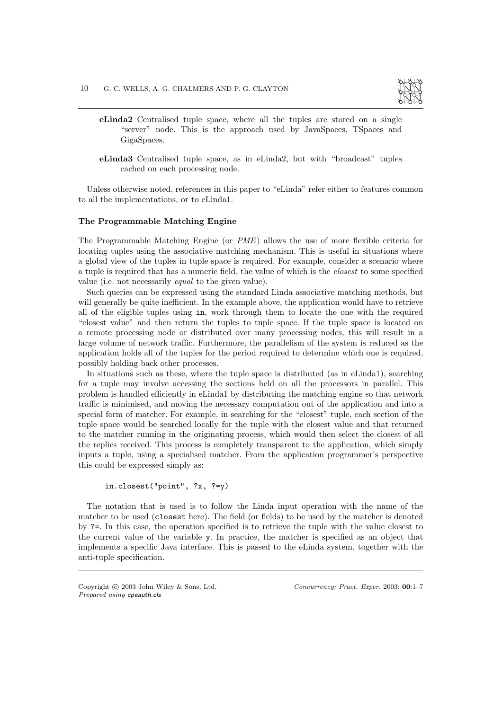

- eLinda2 Centralised tuple space, where all the tuples are stored on a single "server" node. This is the approach used by JavaSpaces, TSpaces and GigaSpaces.
- eLinda3 Centralised tuple space, as in eLinda2, but with "broadcast" tuples cached on each processing node.

Unless otherwise noted, references in this paper to "eLinda" refer either to features common to all the implementations, or to eLinda1.

### The Programmable Matching Engine

The Programmable Matching Engine (or PME) allows the use of more flexible criteria for locating tuples using the associative matching mechanism. This is useful in situations where a global view of the tuples in tuple space is required. For example, consider a scenario where a tuple is required that has a numeric field, the value of which is the closest to some specified value (i.e. not necessarily equal to the given value).

Such queries can be expressed using the standard Linda associative matching methods, but will generally be quite inefficient. In the example above, the application would have to retrieve all of the eligible tuples using in, work through them to locate the one with the required "closest value" and then return the tuples to tuple space. If the tuple space is located on a remote processing node or distributed over many processing nodes, this will result in a large volume of network traffic. Furthermore, the parallelism of the system is reduced as the application holds all of the tuples for the period required to determine which one is required, possibly holding back other processes.

In situations such as these, where the tuple space is distributed (as in eLinda1), searching for a tuple may involve accessing the sections held on all the processors in parallel. This problem is handled efficiently in eLinda1 by distributing the matching engine so that network traffic is minimised, and moving the necessary computation out of the application and into a special form of matcher. For example, in searching for the "closest" tuple, each section of the tuple space would be searched locally for the tuple with the closest value and that returned to the matcher running in the originating process, which would then select the closest of all the replies received. This process is completely transparent to the application, which simply inputs a tuple, using a specialised matcher. From the application programmer's perspective this could be expressed simply as:

```
in.closest("point", ?x, ?=y)
```
The notation that is used is to follow the Linda input operation with the name of the matcher to be used (closest here). The field (or fields) to be used by the matcher is denoted by ?=. In this case, the operation specified is to retrieve the tuple with the value closest to the current value of the variable y. In practice, the matcher is specified as an object that implements a specific Java interface. This is passed to the eLinda system, together with the anti-tuple specification.

Prepared using cpeauth.cls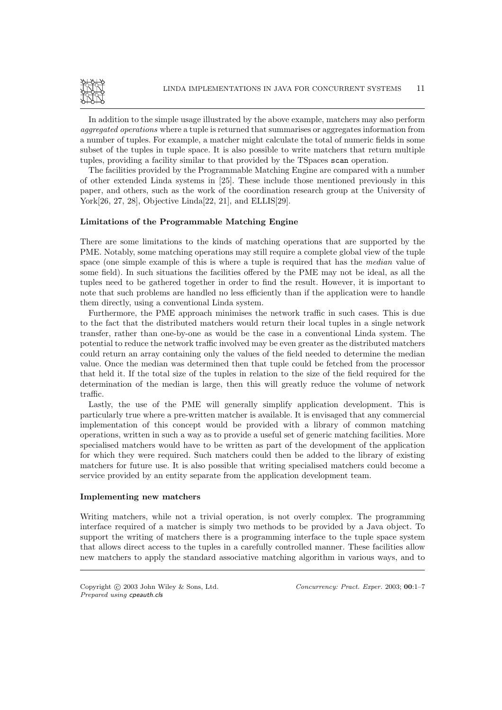

In addition to the simple usage illustrated by the above example, matchers may also perform aggregated operations where a tuple is returned that summarises or aggregates information from a number of tuples. For example, a matcher might calculate the total of numeric fields in some subset of the tuples in tuple space. It is also possible to write matchers that return multiple tuples, providing a facility similar to that provided by the TSpaces scan operation.

The facilities provided by the Programmable Matching Engine are compared with a number of other extended Linda systems in [25]. These include those mentioned previously in this paper, and others, such as the work of the coordination research group at the University of York[26, 27, 28], Objective Linda[22, 21], and ELLIS[29].

### Limitations of the Programmable Matching Engine

There are some limitations to the kinds of matching operations that are supported by the PME. Notably, some matching operations may still require a complete global view of the tuple space (one simple example of this is where a tuple is required that has the median value of some field). In such situations the facilities offered by the PME may not be ideal, as all the tuples need to be gathered together in order to find the result. However, it is important to note that such problems are handled no less efficiently than if the application were to handle them directly, using a conventional Linda system.

Furthermore, the PME approach minimises the network traffic in such cases. This is due to the fact that the distributed matchers would return their local tuples in a single network transfer, rather than one-by-one as would be the case in a conventional Linda system. The potential to reduce the network traffic involved may be even greater as the distributed matchers could return an array containing only the values of the field needed to determine the median value. Once the median was determined then that tuple could be fetched from the processor that held it. If the total size of the tuples in relation to the size of the field required for the determination of the median is large, then this will greatly reduce the volume of network traffic.

Lastly, the use of the PME will generally simplify application development. This is particularly true where a pre-written matcher is available. It is envisaged that any commercial implementation of this concept would be provided with a library of common matching operations, written in such a way as to provide a useful set of generic matching facilities. More specialised matchers would have to be written as part of the development of the application for which they were required. Such matchers could then be added to the library of existing matchers for future use. It is also possible that writing specialised matchers could become a service provided by an entity separate from the application development team.

### Implementing new matchers

Writing matchers, while not a trivial operation, is not overly complex. The programming interface required of a matcher is simply two methods to be provided by a Java object. To support the writing of matchers there is a programming interface to the tuple space system that allows direct access to the tuples in a carefully controlled manner. These facilities allow new matchers to apply the standard associative matching algorithm in various ways, and to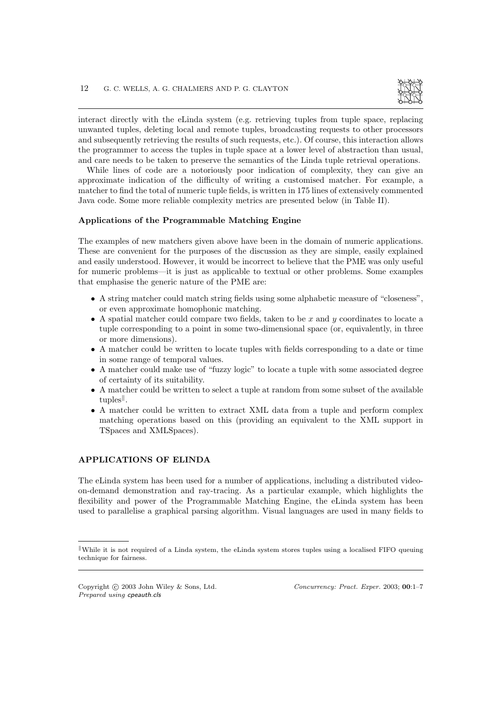

interact directly with the eLinda system (e.g. retrieving tuples from tuple space, replacing unwanted tuples, deleting local and remote tuples, broadcasting requests to other processors and subsequently retrieving the results of such requests, etc.). Of course, this interaction allows the programmer to access the tuples in tuple space at a lower level of abstraction than usual, and care needs to be taken to preserve the semantics of the Linda tuple retrieval operations.

While lines of code are a notoriously poor indication of complexity, they can give an approximate indication of the difficulty of writing a customised matcher. For example, a matcher to find the total of numeric tuple fields, is written in 175 lines of extensively commented Java code. Some more reliable complexity metrics are presented below (in Table II).

### Applications of the Programmable Matching Engine

The examples of new matchers given above have been in the domain of numeric applications. These are convenient for the purposes of the discussion as they are simple, easily explained and easily understood. However, it would be incorrect to believe that the PME was only useful for numeric problems—it is just as applicable to textual or other problems. Some examples that emphasise the generic nature of the PME are:

- A string matcher could match string fields using some alphabetic measure of "closeness", or even approximate homophonic matching.
- A spatial matcher could compare two fields, taken to be x and y coordinates to locate a tuple corresponding to a point in some two-dimensional space (or, equivalently, in three or more dimensions).
- A matcher could be written to locate tuples with fields corresponding to a date or time in some range of temporal values.
- A matcher could make use of "fuzzy logic" to locate a tuple with some associated degree of certainty of its suitability.
- A matcher could be written to select a tuple at random from some subset of the available  $\text{tuples}^{\parallel}$ .
- A matcher could be written to extract XML data from a tuple and perform complex matching operations based on this (providing an equivalent to the XML support in TSpaces and XMLSpaces).

# APPLICATIONS OF ELINDA

The eLinda system has been used for a number of applications, including a distributed videoon-demand demonstration and ray-tracing. As a particular example, which highlights the flexibility and power of the Programmable Matching Engine, the eLinda system has been used to parallelise a graphical parsing algorithm. Visual languages are used in many fields to

While it is not required of a Linda system, the eLinda system stores tuples using a localised FIFO queuing technique for fairness.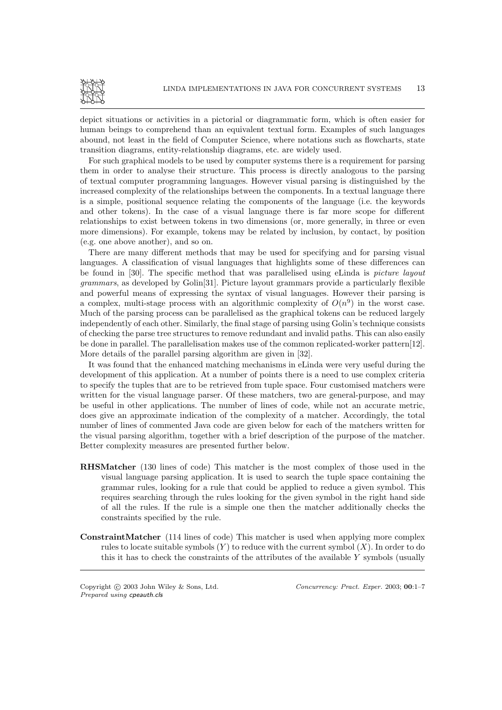

depict situations or activities in a pictorial or diagrammatic form, which is often easier for human beings to comprehend than an equivalent textual form. Examples of such languages abound, not least in the field of Computer Science, where notations such as flowcharts, state transition diagrams, entity-relationship diagrams, etc. are widely used.

For such graphical models to be used by computer systems there is a requirement for parsing them in order to analyse their structure. This process is directly analogous to the parsing of textual computer programming languages. However visual parsing is distinguished by the increased complexity of the relationships between the components. In a textual language there is a simple, positional sequence relating the components of the language (i.e. the keywords and other tokens). In the case of a visual language there is far more scope for different relationships to exist between tokens in two dimensions (or, more generally, in three or even more dimensions). For example, tokens may be related by inclusion, by contact, by position (e.g. one above another), and so on.

There are many different methods that may be used for specifying and for parsing visual languages. A classification of visual languages that highlights some of these differences can be found in [30]. The specific method that was parallelised using eLinda is picture layout grammars, as developed by Golin[31]. Picture layout grammars provide a particularly flexible and powerful means of expressing the syntax of visual languages. However their parsing is a complex, multi-stage process with an algorithmic complexity of  $O(n^9)$  in the worst case. Much of the parsing process can be parallelised as the graphical tokens can be reduced largely independently of each other. Similarly, the final stage of parsing using Golin's technique consists of checking the parse tree structures to remove redundant and invalid paths. This can also easily be done in parallel. The parallelisation makes use of the common replicated-worker pattern[12]. More details of the parallel parsing algorithm are given in [32].

It was found that the enhanced matching mechanisms in eLinda were very useful during the development of this application. At a number of points there is a need to use complex criteria to specify the tuples that are to be retrieved from tuple space. Four customised matchers were written for the visual language parser. Of these matchers, two are general-purpose, and may be useful in other applications. The number of lines of code, while not an accurate metric, does give an approximate indication of the complexity of a matcher. Accordingly, the total number of lines of commented Java code are given below for each of the matchers written for the visual parsing algorithm, together with a brief description of the purpose of the matcher. Better complexity measures are presented further below.

- RHSMatcher (130 lines of code) This matcher is the most complex of those used in the visual language parsing application. It is used to search the tuple space containing the grammar rules, looking for a rule that could be applied to reduce a given symbol. This requires searching through the rules looking for the given symbol in the right hand side of all the rules. If the rule is a simple one then the matcher additionally checks the constraints specified by the rule.
- ConstraintMatcher (114 lines of code) This matcher is used when applying more complex rules to locate suitable symbols  $(Y)$  to reduce with the current symbol  $(X)$ . In order to do this it has to check the constraints of the attributes of the available Y symbols (usually

Copyright © 2003 John Wiley & Sons, Ltd. Concurrency: Pract. Exper. 2003; 00:1–7 Prepared using cpeauth.cls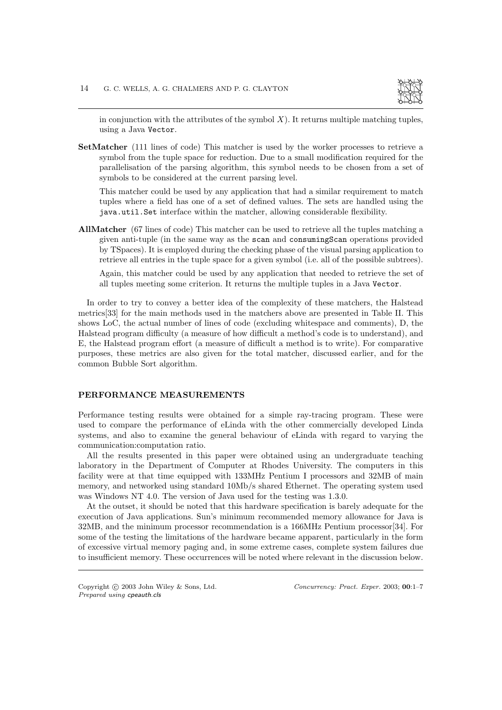

in conjunction with the attributes of the symbol  $X$ ). It returns multiple matching tuples, using a Java Vector.

SetMatcher (111 lines of code) This matcher is used by the worker processes to retrieve a symbol from the tuple space for reduction. Due to a small modification required for the parallelisation of the parsing algorithm, this symbol needs to be chosen from a set of symbols to be considered at the current parsing level.

This matcher could be used by any application that had a similar requirement to match tuples where a field has one of a set of defined values. The sets are handled using the java.util.Set interface within the matcher, allowing considerable flexibility.

AllMatcher (67 lines of code) This matcher can be used to retrieve all the tuples matching a given anti-tuple (in the same way as the scan and consumingScan operations provided by TSpaces). It is employed during the checking phase of the visual parsing application to retrieve all entries in the tuple space for a given symbol (i.e. all of the possible subtrees).

Again, this matcher could be used by any application that needed to retrieve the set of all tuples meeting some criterion. It returns the multiple tuples in a Java Vector.

In order to try to convey a better idea of the complexity of these matchers, the Halstead metrics[33] for the main methods used in the matchers above are presented in Table II. This shows LoC, the actual number of lines of code (excluding whitespace and comments), D, the Halstead program difficulty (a measure of how difficult a method's code is to understand), and E, the Halstead program effort (a measure of difficult a method is to write). For comparative purposes, these metrics are also given for the total matcher, discussed earlier, and for the common Bubble Sort algorithm.

### PERFORMANCE MEASUREMENTS

Performance testing results were obtained for a simple ray-tracing program. These were used to compare the performance of eLinda with the other commercially developed Linda systems, and also to examine the general behaviour of eLinda with regard to varying the communication:computation ratio.

All the results presented in this paper were obtained using an undergraduate teaching laboratory in the Department of Computer at Rhodes University. The computers in this facility were at that time equipped with 133MHz Pentium I processors and 32MB of main memory, and networked using standard 10Mb/s shared Ethernet. The operating system used was Windows NT 4.0. The version of Java used for the testing was 1.3.0.

At the outset, it should be noted that this hardware specification is barely adequate for the execution of Java applications. Sun's minimum recommended memory allowance for Java is 32MB, and the minimum processor recommendation is a 166MHz Pentium processor[34]. For some of the testing the limitations of the hardware became apparent, particularly in the form of excessive virtual memory paging and, in some extreme cases, complete system failures due to insufficient memory. These occurrences will be noted where relevant in the discussion below.

Copyright © 2003 John Wiley & Sons, Ltd. Concurrency: Pract. Exper. 2003; 00:1–7 Prepared using cpeauth.cls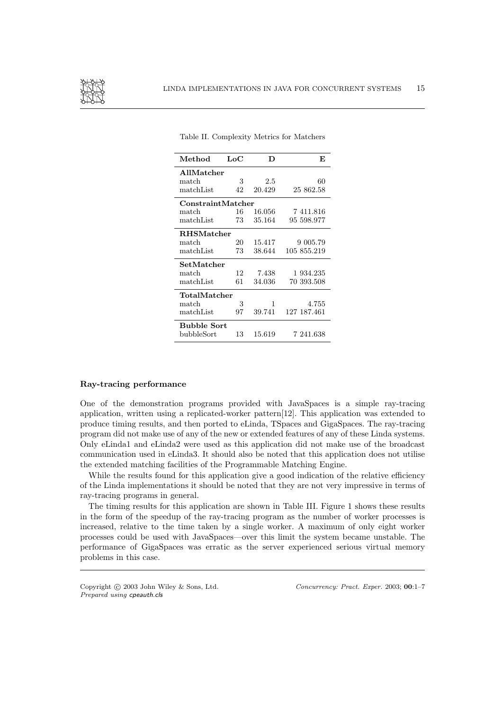

| Method             | LoC | D      | F,          |  |  |
|--------------------|-----|--------|-------------|--|--|
| AllMatcher         |     |        |             |  |  |
| match              | 3   | 2.5    | 60          |  |  |
| matchList          | 42  | 20.429 | 25 862.58   |  |  |
| ConstraintMatcher  |     |        |             |  |  |
| match              | 16  | 16.056 | 7 411.816   |  |  |
| matchList          | 73  | 35.164 | 95 598.977  |  |  |
| <b>RHSMatcher</b>  |     |        |             |  |  |
| match              | 20  | 15.417 | 9 005.79    |  |  |
| matchList          | 73  | 38.644 | 105 855.219 |  |  |
| SetMatcher         |     |        |             |  |  |
| match              | 12  | 7.438  | 1 934.235   |  |  |
| matchList          | 61  | 34.036 | 70 393.508  |  |  |
| TotalMatcher       |     |        |             |  |  |
| match              | 3   | 1      | 4.755       |  |  |
| matchList          | 97  | 39.741 | 127 187.461 |  |  |
| <b>Bubble Sort</b> |     |        |             |  |  |
| bubbleSort         | 13  | 15.619 | 7 241.638   |  |  |

Table II. Complexity Metrics for Matchers

# Ray-tracing performance

One of the demonstration programs provided with JavaSpaces is a simple ray-tracing application, written using a replicated-worker pattern[12]. This application was extended to produce timing results, and then ported to eLinda, TSpaces and GigaSpaces. The ray-tracing program did not make use of any of the new or extended features of any of these Linda systems. Only eLinda1 and eLinda2 were used as this application did not make use of the broadcast communication used in eLinda3. It should also be noted that this application does not utilise the extended matching facilities of the Programmable Matching Engine.

While the results found for this application give a good indication of the relative efficiency of the Linda implementations it should be noted that they are not very impressive in terms of ray-tracing programs in general.

The timing results for this application are shown in Table III. Figure 1 shows these results in the form of the speedup of the ray-tracing program as the number of worker processes is increased, relative to the time taken by a single worker. A maximum of only eight worker processes could be used with JavaSpaces—over this limit the system became unstable. The performance of GigaSpaces was erratic as the server experienced serious virtual memory problems in this case.

Prepared using cpeauth.cls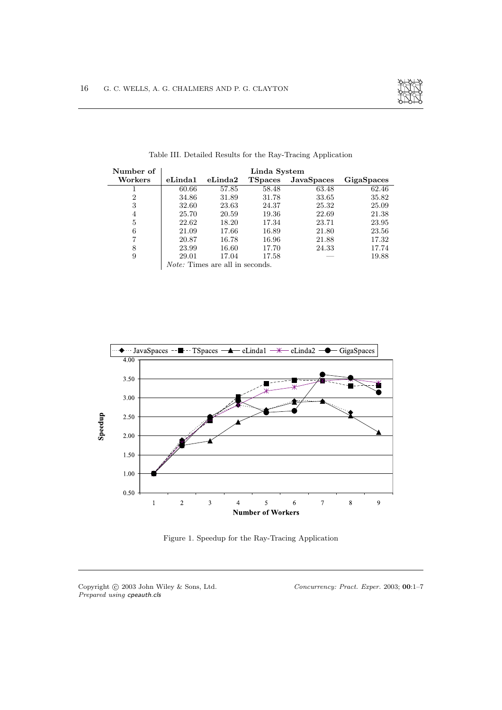

| Number of | Linda System                           |               |                |                   |            |
|-----------|----------------------------------------|---------------|----------------|-------------------|------------|
| Workers   | eLinda1                                | $e$ Linda $2$ | <b>TSpaces</b> | <b>JavaSpaces</b> | GigaSpaces |
|           | 60.66                                  | 57.85         | 58.48          | 63.48             | 62.46      |
| 2         | 34.86                                  | 31.89         | 31.78          | 33.65             | 35.82      |
| 3         | 32.60                                  | 23.63         | 24.37          | 25.32             | 25.09      |
| 4         | 25.70                                  | 20.59         | 19.36          | 22.69             | 21.38      |
| 5         | 22.62                                  | 18.20         | 17.34          | 23.71             | 23.95      |
| 6         | 21.09                                  | 17.66         | 16.89          | 21.80             | 23.56      |
|           | 20.87                                  | 16.78         | 16.96          | 21.88             | 17.32      |
| 8         | 23.99                                  | 16.60         | 17.70          | 24.33             | 17.74      |
| 9         | 29.01                                  | 17.04         | 17.58          |                   | 19.88      |
|           | <i>Note:</i> Times are all in seconds. |               |                |                   |            |

Table III. Detailed Results for the Ray-Tracing Application



Figure 1. Speedup for the Ray-Tracing Application

Prepared using cpeauth.cls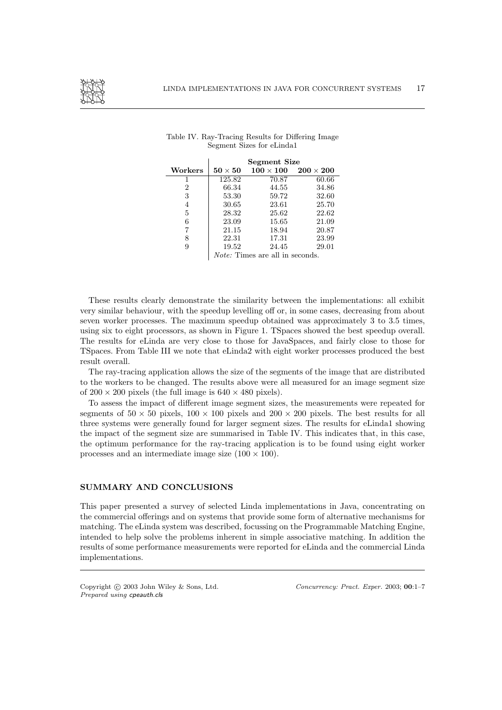

|         | <b>Segment Size</b> |                |                  |
|---------|---------------------|----------------|------------------|
| Workers | $50\times50$        | $100\times100$ | $200 \times 200$ |
|         | 125.82              | 70.87          | 60.66            |
| 2       | 66.34               | 44.55          | 34.86            |
| 3       | 53.30               | 59.72          | 32.60            |
| 4       | 30.65               | 23.61          | 25.70            |
| 5       | 28.32               | 25.62          | 22.62            |
| 6       | 23.09               | 15.65          | 21.09            |
|         | 21.15               | 18.94          | 20.87            |
| 8       | 22.31               | 17.31          | 23.99            |
|         | 19.52               | 24.45          | 29.01            |

### Table IV. Ray-Tracing Results for Differing Image Segment Sizes for eLinda1

Note: Times are all in seconds.

These results clearly demonstrate the similarity between the implementations: all exhibit very similar behaviour, with the speedup levelling off or, in some cases, decreasing from about seven worker processes. The maximum speedup obtained was approximately 3 to 3.5 times, using six to eight processors, as shown in Figure 1. TSpaces showed the best speedup overall. The results for eLinda are very close to those for JavaSpaces, and fairly close to those for TSpaces. From Table III we note that eLinda2 with eight worker processes produced the best result overall.

The ray-tracing application allows the size of the segments of the image that are distributed to the workers to be changed. The results above were all measured for an image segment size of  $200 \times 200$  pixels (the full image is  $640 \times 480$  pixels).

To assess the impact of different image segment sizes, the measurements were repeated for segments of  $50 \times 50$  pixels,  $100 \times 100$  pixels and  $200 \times 200$  pixels. The best results for all three systems were generally found for larger segment sizes. The results for eLinda1 showing the impact of the segment size are summarised in Table IV. This indicates that, in this case, the optimum performance for the ray-tracing application is to be found using eight worker processes and an intermediate image size  $(100 \times 100)$ .

# SUMMARY AND CONCLUSIONS

This paper presented a survey of selected Linda implementations in Java, concentrating on the commercial offerings and on systems that provide some form of alternative mechanisms for matching. The eLinda system was described, focussing on the Programmable Matching Engine, intended to help solve the problems inherent in simple associative matching. In addition the results of some performance measurements were reported for eLinda and the commercial Linda implementations.

Prepared using cpeauth.cls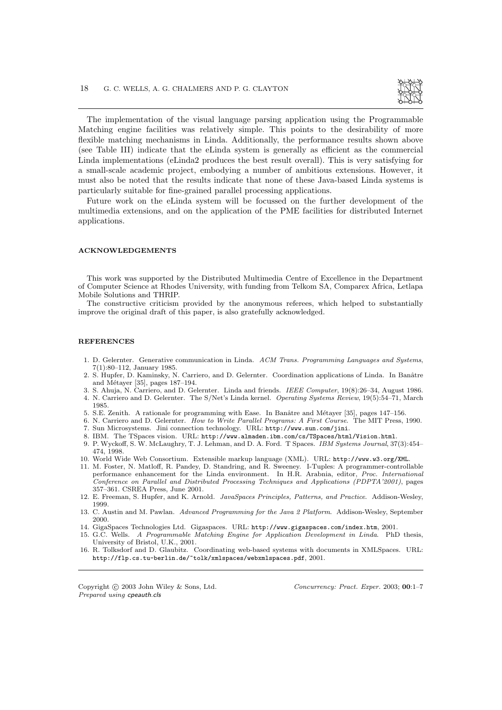

The implementation of the visual language parsing application using the Programmable Matching engine facilities was relatively simple. This points to the desirability of more flexible matching mechanisms in Linda. Additionally, the performance results shown above (see Table III) indicate that the eLinda system is generally as efficient as the commercial Linda implementations (eLinda2 produces the best result overall). This is very satisfying for a small-scale academic project, embodying a number of ambitious extensions. However, it must also be noted that the results indicate that none of these Java-based Linda systems is particularly suitable for fine-grained parallel processing applications.

Future work on the eLinda system will be focussed on the further development of the multimedia extensions, and on the application of the PME facilities for distributed Internet applications.

#### ACKNOWLEDGEMENTS

This work was supported by the Distributed Multimedia Centre of Excellence in the Department of Computer Science at Rhodes University, with funding from Telkom SA, Comparex Africa, Letlapa Mobile Solutions and THRIP.

The constructive criticism provided by the anonymous referees, which helped to substantially improve the original draft of this paper, is also gratefully acknowledged.

#### **REFERENCES**

- 1. D. Gelernter. Generative communication in Linda. ACM Trans. Programming Languages and Systems, 7(1):80–112, January 1985.
- 2. S. Hupfer, D. Kaminsky, N. Carriero, and D. Gelernter. Coordination applications of Linda. In Banâtre and Métayer [35], pages  $187-194$ .
- 3. S. Ahuja, N. Carriero, and D. Gelernter. Linda and friends. IEEE Computer, 19(8):26–34, August 1986. 4. N. Carriero and D. Gelernter. The S/Net's Linda kernel. Operating Systems Review, 19(5):54–71, March
- 1985.
- 5. S.E. Zenith. A rationale for programming with Ease. In Banâtre and Métayer [35], pages 147–156.
- 6. N. Carriero and D. Gelernter. How to Write Parallel Programs: A First Course. The MIT Press, 1990. 7. Sun Microsystems. Jini connection technology. URL: http://www.sun.com/jini.
- 8. IBM. The TSpaces vision. URL: http://www.almaden.ibm.com/cs/TSpaces/html/Vision.html.
- 9. P. Wyckoff, S. W. McLaughry, T. J. Lehman, and D. A. Ford. T Spaces. IBM Systems Journal, 37(3):454– 474, 1998.
- 10. World Wide Web Consortium. Extensible markup language (XML). URL: http://www.w3.org/XML.
- 11. M. Foster, N. Matloff, R. Pandey, D. Standring, and R. Sweeney. I-Tuples: A programmer-controllable performance enhancement for the Linda environment. In H.R. Arabnia, editor, Proc. International Conference on Parallel and Distributed Processing Techniques and Applications (PDPTA'2001), pages 357–361. CSREA Press, June 2001.
- 12. E. Freeman, S. Hupfer, and K. Arnold. JavaSpaces Principles, Patterns, and Practice. Addison-Wesley, 1999.
- 13. C. Austin and M. Pawlan. Advanced Programming for the Java 2 Platform. Addison-Wesley, September 2000.
- 14. GigaSpaces Technologies Ltd. Gigaspaces. URL: http://www.gigaspaces.com/index.htm, 2001.
- 15. G.C. Wells. A Programmable Matching Engine for Application Development in Linda. PhD thesis, University of Bristol, U.K., 2001.
- 16. R. Tolksdorf and D. Glaubitz. Coordinating web-based systems with documents in XMLSpaces. URL: http://flp.cs.tu-berlin.de/~tolk/xmlspaces/webxmlspaces.pdf, 2001.

Prepared using cpeauth.cls